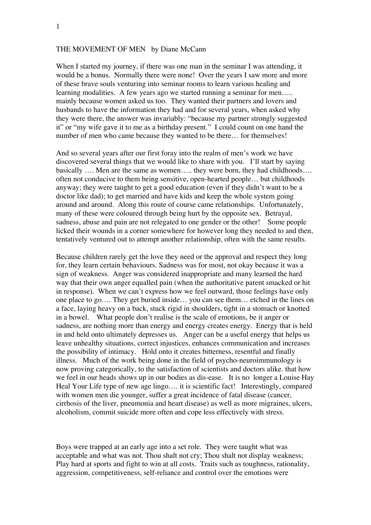# THE MOVEMENT OF MEN by Diane McCann

When I started my journey, if there was one man in the seminar I was attending, it would be a bonus. Normally there were none! Over the years I saw more and more of these brave souls venturing into seminar rooms to learn various healing and learning modalities. A few years ago we started running a seminar for men..... mainly because women asked us too. They wanted their partners and lovers and husbands to have the information they had and for several years, when asked why they were there, the answer was invariably: "because my partner strongly suggested it" or "my wife gave it to me as a birthday present." I could count on one hand the number of men who came because they wanted to be there… for themselves!

And so several years after our first foray into the realm of men's work we have discovered several things that we would like to share with you. I'll start by saying basically …. Men are the same as women….. they were born, they had childhoods…. often not conducive to them being sensitive, open-hearted people… but childhoods anyway; they were taught to get a good education (even if they didn't want to be a doctor like dad); to get married and have kids and keep the whole system going around and around. Along this route of course came relationships. Unfortunately, many of these were coloured through being hurt by the opposite sex. Betrayal, sadness, abuse and pain are not relegated to one gender or the other! Some people licked their wounds in a corner somewhere for however long they needed to and then, tentatively ventured out to attempt another relationship, often with the same results.

Because children rarely get the love they need or the approval and respect they long for, they learn certain behaviours. Sadness was for most, not okay because it was a sign of weakness. Anger was considered inappropriate and many learned the hard way that their own anger equalled pain (when the authoritative parent smacked or hit in response). When we can't express how we feel outward, those feelings have only one place to go…. They get buried inside… you can see them… etched in the lines on a face, laying heavy on a back, stuck rigid in shoulders, tight in a stomach or knotted in a bowel. What people don't realise is the scale of emotions, be it anger or sadness, are nothing more than energy and energy creates energy. Energy that is held in and held onto ultimately depresses us. Anger can be a useful energy that helps us leave unhealthy situations, correct injustices, enhances communication and increases the possibility of intimacy. Hold onto it creates bitterness, resentful and finally illness. Much of the work being done in the field of psycho-neuroimmunology is now proving categorically, to the satisfaction of scientists and doctors alike. that how we feel in our heads shows up in our bodies as dis-ease. It is no longer a Louise Hay Heal Your Life type of new age lingo.... it is scientific fact! Interestingly, compared with women men die younger, suffer a great incidence of fatal disease (cancer, cirrhosis of the liver, pneumonia and heart disease) as well as more migraines, ulcers, alcoholism, commit suicide more often and cope less effectively with stress.

Boys were trapped at an early age into a set role. They were taught what was acceptable and what was not. Thou shalt not cry; Thou shalt not display weakness; Play hard at sports and fight to win at all costs. Traits such as toughness, rationality, aggression, competitiveness, self-reliance and control over the emotions were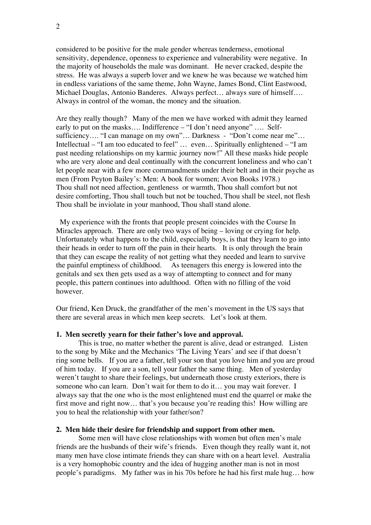considered to be positive for the male gender whereas tenderness, emotional sensitivity, dependence, openness to experience and vulnerability were negative. In the majority of households the male was dominant. He never cracked, despite the stress. He was always a superb lover and we knew he was because we watched him in endless variations of the same theme, John Wayne, James Bond, Clint Eastwood, Michael Douglas, Antonio Banderes. Always perfect… always sure of himself…. Always in control of the woman, the money and the situation.

Are they really though? Many of the men we have worked with admit they learned early to put on the masks…. Indifference – "I don't need anyone" …. Selfsufficiency.... "I can manage on my own"... Darkness - "Don't come near me"... Intellectual – "I am too educated to feel" … even… Spiritually enlightened – "I am past needing relationships on my karmic journey now!" All these masks hide people who are very alone and deal continually with the concurrent loneliness and who can't let people near with a few more commandments under their belt and in their psyche as men (From Peyton Bailey's: Men: A book for women; Avon Books 1978.) Thou shall not need affection, gentleness or warmth, Thou shall comfort but not desire comforting, Thou shall touch but not be touched, Thou shall be steel, not flesh Thou shall be inviolate in your manhood, Thou shall stand alone.

 My experience with the fronts that people present coincides with the Course In Miracles approach. There are only two ways of being – loving or crying for help. Unfortunately what happens to the child, especially boys, is that they learn to go into their heads in order to turn off the pain in their hearts. It is only through the brain that they can escape the reality of not getting what they needed and learn to survive the painful emptiness of childhood. As teenagers this energy is lowered into the genitals and sex then gets used as a way of attempting to connect and for many people, this pattern continues into adulthood. Often with no filling of the void however.

Our friend, Ken Druck, the grandfather of the men's movement in the US says that there are several areas in which men keep secrets. Let's look at them.

## **1. Men secretly yearn for their father's love and approval.**

This is true, no matter whether the parent is alive, dead or estranged. Listen to the song by Mike and the Mechanics 'The Living Years' and see if that doesn't ring some bells. If you are a father, tell your son that you love him and you are proud of him today. If you are a son, tell your father the same thing. Men of yesterday weren't taught to share their feelings, but underneath those crusty exteriors, there is someone who can learn. Don't wait for them to do it… you may wait forever. I always say that the one who is the most enlightened must end the quarrel or make the first move and right now… that's you because you're reading this! How willing are you to heal the relationship with your father/son?

### **2. Men hide their desire for friendship and support from other men.**

Some men will have close relationships with women but often men's male friends are the husbands of their wife's friends. Even though they really want it, not many men have close intimate friends they can share with on a heart level. Australia is a very homophobic country and the idea of hugging another man is not in most people's paradigms. My father was in his 70s before he had his first male hug… how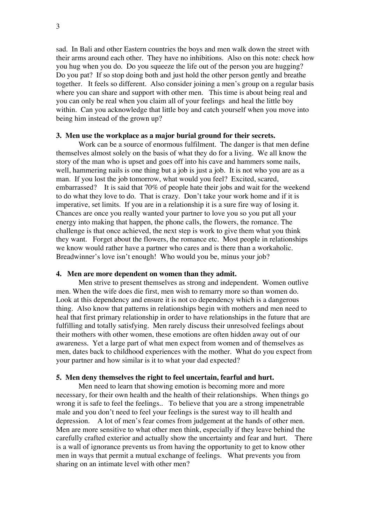sad. In Bali and other Eastern countries the boys and men walk down the street with their arms around each other. They have no inhibitions. Also on this note: check how you hug when you do. Do you squeeze the life out of the person you are hugging? Do you pat? If so stop doing both and just hold the other person gently and breathe together. It feels so different. Also consider joining a men's group on a regular basis where you can share and support with other men. This time is about being real and you can only be real when you claim all of your feelings and heal the little boy within. Can you acknowledge that little boy and catch yourself when you move into being him instead of the grown up?

## **3. Men use the workplace as a major burial ground for their secrets.**

Work can be a source of enormous fulfilment. The danger is that men define themselves almost solely on the basis of what they do for a living. We all know the story of the man who is upset and goes off into his cave and hammers some nails, well, hammering nails is one thing but a job is just a job. It is not who you are as a man. If you lost the job tomorrow, what would you feel? Excited, scared, embarrassed? It is said that 70% of people hate their jobs and wait for the weekend to do what they love to do. That is crazy. Don't take your work home and if it is imperative, set limits. If you are in a relationship it is a sure fire way of losing it. Chances are once you really wanted your partner to love you so you put all your energy into making that happen, the phone calls, the flowers, the romance. The challenge is that once achieved, the next step is work to give them what you think they want. Forget about the flowers, the romance etc. Most people in relationships we know would rather have a partner who cares and is there than a workaholic. Breadwinner's love isn't enough! Who would you be, minus your job?

### **4. Men are more dependent on women than they admit.**

Men strive to present themselves as strong and independent. Women outlive men. When the wife does die first, men wish to remarry more so than women do. Look at this dependency and ensure it is not co dependency which is a dangerous thing. Also know that patterns in relationships begin with mothers and men need to heal that first primary relationship in order to have relationships in the future that are fulfilling and totally satisfying. Men rarely discuss their unresolved feelings about their mothers with other women, these emotions are often hidden away out of our awareness. Yet a large part of what men expect from women and of themselves as men, dates back to childhood experiences with the mother. What do you expect from your partner and how similar is it to what your dad expected?

#### **5. Men deny themselves the right to feel uncertain, fearful and hurt.**

Men need to learn that showing emotion is becoming more and more necessary, for their own health and the health of their relationships. When things go wrong it is safe to feel the feelings.. To believe that you are a strong impenetrable male and you don't need to feel your feelings is the surest way to ill health and depression. A lot of men's fear comes from judgement at the hands of other men. Men are more sensitive to what other men think, especially if they leave behind the carefully crafted exterior and actually show the uncertainty and fear and hurt. There is a wall of ignorance prevents us from having the opportunity to get to know other men in ways that permit a mutual exchange of feelings. What prevents you from sharing on an intimate level with other men?